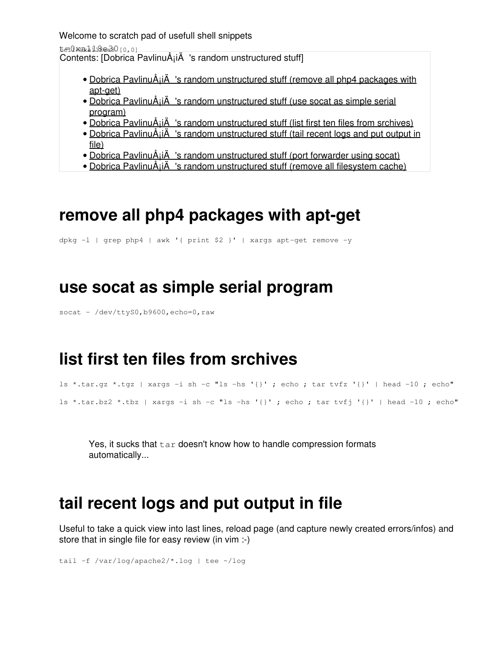Welcome to scratch pad of usefull shell snippets

t=0xa118e30 [0,0]

Contents: [Dobrica PavlinuÅ<sub>i</sub>iÄ 's random unstructured stuff]

- Dobrica PavlinuA<sub>i</sub>iA 's random unstructured stuff (remove all php4 packages with [apt-get\)](https://saturn.ffzg.hr/rot13/index.cgi?dobrica_pavlinu%C5%A1i%C4%87_s_random_unstructured_stuff#remove_all_php4_packages_with_apt_get)
- Dobrica PavlinuA<sub>i</sub>iA 's random unstructured stuff (use socat as simple serial [program\)](https://saturn.ffzg.hr/rot13/index.cgi?dobrica_pavlinu%C5%A1i%C4%87_s_random_unstructured_stuff#use_socat_as_simple_serial_program)
- [Dobrica PavlinuÅ¡iÄ's random unstructured stuff \(list first ten files from srchives\)](https://saturn.ffzg.hr/rot13/index.cgi?dobrica_pavlinu%C5%A1i%C4%87_s_random_unstructured_stuff#list_first_ten_files_from_srchives)
- Dobrica PavlinuA<sub>i</sub>iA 's random unstructured stuff (tail recent logs and put output in [file\)](https://saturn.ffzg.hr/rot13/index.cgi?dobrica_pavlinu%C5%A1i%C4%87_s_random_unstructured_stuff#tail_recent_logs_and_put_output_in_file)
- Dobrica PavlinuÅ<sub>i</sub>iÄ's random unstructured stuff (port forwarder using socat)
- Dobrica PavlinuÅi $\ddot{A}$  's random unstructured stuff (remove all filesystem cache)

### **remove all php4 packages with apt-get**

dpkg -l | grep php4 | awk '{ print \$2 }' | xargs apt-get remove -y

#### **use socat as simple serial program**

socat - /dev/ttyS0,b9600,echo=0,raw

#### **list first ten files from srchives**

```
ls *.tar.gz *.tgz | xargs -i sh -c "ls -hs '{}' ; echo ; tar tvfz '{}' | head -10 ; echo"
ls *.tar.bz2 *.tbz | xargs -i sh -c "ls -hs '{}' ; echo ; tar tvfj '{}' | head -10 ; echo"
```
Yes, it sucks that  $tar$  doesn't know how to handle compression formats automatically...

## **tail recent logs and put output in file**

Useful to take a quick view into last lines, reload page (and capture newly created errors/infos) and store that in single file for easy review (in vim :-)

tail -f /var/log/apache2/\*.log | tee ~/log